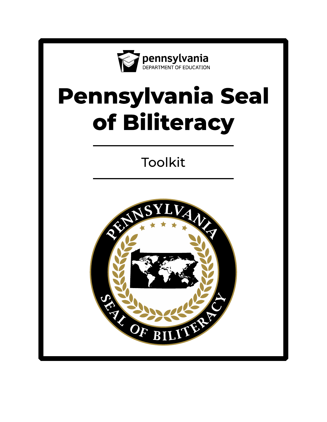

# **Pennsylvania Seal** of Biliteracy

**Toolkit** 

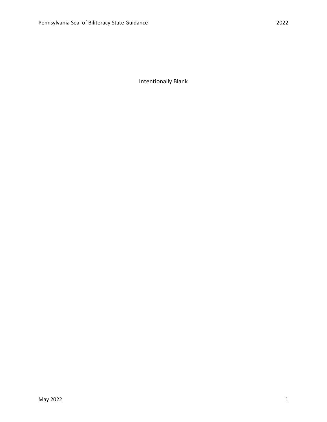Intentionally Blank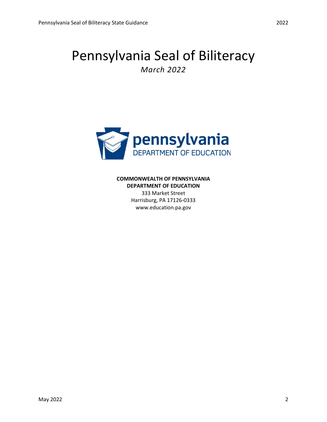

## **COMMONWEALTH OF PENNSYLVANIA DEPARTMENT OF EDUCATION**

333 Market Street Harrisburg, PA 17126-0333 www.education.pa.gov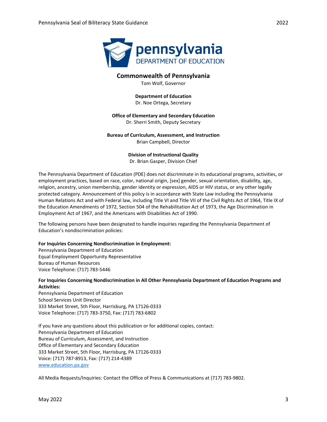

#### **Commonwealth of Pennsylvania**

Tom Wolf, Governor

#### **Department of Education** Dr. Noe Ortega, Secretary

#### **Office of Elementary and Secondary Education**

Dr. Sherri Smith, Deputy Secretary

**Bureau of Curriculum, Assessment, and Instruction** Brian Campbell, Director

#### **Division of Instructional Quality**

Dr. Brian Gasper, Division Chief

The Pennsylvania Department of Education (PDE) does not discriminate in its educational programs, activities, or employment practices, based on race, color, national origin, [sex] gender, sexual orientation, disability, age, religion, ancestry, union membership, gender identity or expression, AIDS or HIV status, or any other legally protected category. Announcement of this policy is in accordance with State Law including the Pennsylvania Human Relations Act and with Federal law, including Title VI and Title VII of the Civil Rights Act of 1964, Title IX of the Education Amendments of 1972, Section 504 of the Rehabilitation Act of 1973, the Age Discrimination in Employment Act of 1967, and the Americans with Disabilities Act of 1990.

The following persons have been designated to handle inquiries regarding the Pennsylvania Department of Education's nondiscrimination policies:

#### **For Inquiries Concerning Nondiscrimination in Employment:**

Pennsylvania Department of Education Equal Employment Opportunity Representative Bureau of Human Resources Voice Telephone: (717) 783-5446

#### **For Inquiries Concerning Nondiscrimination in All Other Pennsylvania Department of Education Programs and Activities:**

Pennsylvania Department of Education School Services Unit Director 333 Market Street, 5th Floor, Harrisburg, PA 17126-0333 Voice Telephone: (717) 783-3750, Fax: (717) 783-6802

If you have any questions about this publication or for additional copies, contact: Pennsylvania Department of Education Bureau of Curriculum, Assessment, and Instruction Office of Elementary and Secondary Education 333 Market Street, 5th Floor, Harrisburg, PA 17126-0333 Voice: (717) 787-8913, Fax: (717) 214-4389 [www.education.pa.gov](http://www.education.pa.gov/)

All Media Requests/Inquiries: Contact the Office of Press & Communications at (717) 783-9802.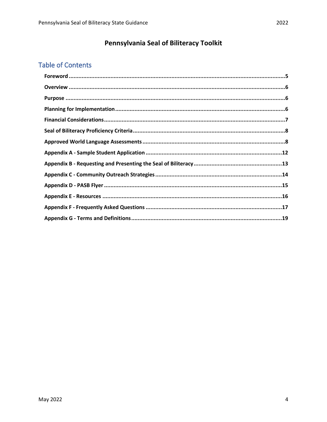## Pennsylvania Seal of Biliteracy Toolkit

## **Table of Contents**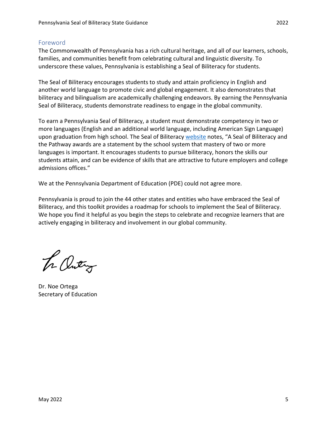## <span id="page-5-0"></span>Foreword

The Commonwealth of Pennsylvania has a rich cultural heritage, and all of our learners, schools, families, and communities benefit from celebrating cultural and linguistic diversity. To underscore these values, Pennsylvania is establishing a Seal of Biliteracy for students.

The Seal of Biliteracy encourages students to study and attain proficiency in English and another world language to promote civic and global engagement. It also demonstrates that biliteracy and bilingualism are academically challenging endeavors. By earning the Pennsylvania Seal of Biliteracy, students demonstrate readiness to engage in the global community.

To earn a Pennsylvania Seal of Biliteracy, a student must demonstrate competency in two or more languages (English and an additional world language, including American Sign Language) upon graduation from high school. The Seal of Biliteracy [website](https://sealofbiliteracy.org/index.php) notes, "A Seal of Biliteracy and the Pathway awards are a statement by the school system that mastery of two or more languages is important. It encourages students to pursue biliteracy, honors the skills our students attain, and can be evidence of skills that are attractive to future employers and college admissions offices."

We at the Pennsylvania Department of Education (PDE) could not agree more.

Pennsylvania is proud to join the 44 other states and entities who have embraced the Seal of Biliteracy, and this toolkit provides a roadmap for schools to implement the Seal of Biliteracy. We hope you find it helpful as you begin the steps to celebrate and recognize learners that are actively engaging in biliteracy and involvement in our global community.

To Outry

Dr. Noe Ortega Secretary of Education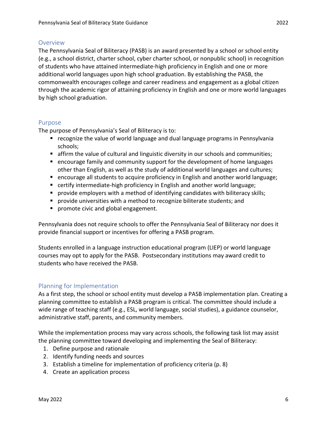## <span id="page-6-0"></span>Overview

The Pennsylvania Seal of Biliteracy (PASB) is an award presented by a school or school entity (e.g., a school district, charter school, cyber charter school, or nonpublic school) in recognition of students who have attained intermediate-high proficiency in English and one or more additional world languages upon high school graduation. By establishing the PASB, the commonwealth encourages college and career readiness and engagement as a global citizen through the academic rigor of attaining proficiency in English and one or more world languages by high school graduation.

## <span id="page-6-1"></span>Purpose

The purpose of Pennsylvania's Seal of Biliteracy is to:

- recognize the value of world language and dual language programs in Pennsylvania schools;
- **E** affirm the value of cultural and linguistic diversity in our schools and communities;
- **EXT** encourage family and community support for the development of home languages other than English, as well as the study of additional world languages and cultures;
- encourage all students to acquire proficiency in English and another world language;
- certify intermediate-high proficiency in English and another world language;
- **Perovide employers with a method of identifying candidates with biliteracy skills;**
- **P** provide universities with a method to recognize biliterate students; and
- promote civic and global engagement.

Pennsylvania does not require schools to offer the Pennsylvania Seal of Biliteracy nor does it provide financial support or incentives for offering a PASB program.

Students enrolled in a language instruction educational program (LIEP) or world language courses may opt to apply for the PASB. Postsecondary institutions may award credit to students who have received the PASB.

## <span id="page-6-2"></span>Planning for Implementation

As a first step, the school or school entity must develop a PASB implementation plan. Creating a planning committee to establish a PASB program is critical. The committee should include a wide range of teaching staff (e.g., ESL, world language, social studies), a guidance counselor, administrative staff, parents, and community members.

While the implementation process may vary across schools, the following task list may assist the planning committee toward developing and implementing the Seal of Biliteracy:

- 1. Define purpose and rationale
- 2. Identify funding needs and sources
- 3. Establish a timeline for implementation of proficiency criteria (p. 8)
- 4. Create an application process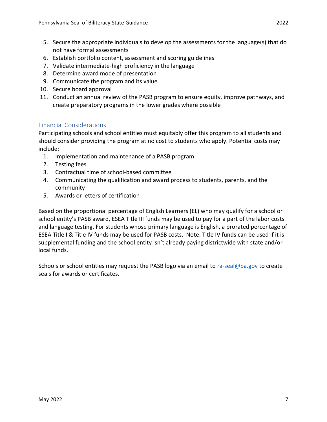- 5. Secure the appropriate individuals to develop the assessments for the language(s) that do not have formal assessments
- 6. Establish portfolio content, assessment and scoring guidelines
- 7. Validate intermediate-high proficiency in the language
- 8. Determine award mode of presentation
- 9. Communicate the program and its value
- 10. Secure board approval
- 11. Conduct an annual review of the PASB program to ensure equity, improve pathways, and create preparatory programs in the lower grades where possible

## <span id="page-7-0"></span>Financial Considerations

Participating schools and school entities must equitably offer this program to all students and should consider providing the program at no cost to students who apply. Potential costs may include:

- 1. Implementation and maintenance of a PASB program
- 2. Testing fees
- 3. Contractual time of school-based committee
- 4. Communicating the qualification and award process to students, parents, and the community
- 5. Awards or letters of certification

Based on the proportional percentage of English Learners (EL) who may qualify for a school or school entity's PASB award, ESEA Title III funds may be used to pay for a part of the labor costs and language testing. For students whose primary language is English, a prorated percentage of ESEA Title I & Title IV funds may be used for PASB costs. Note: Title IV funds can be used if it is supplemental funding and the school entity isn't already paying districtwide with state and/or local funds.

Schools or school entities may request the PASB logo via an email t[o ra-seal@pa.gov](mailto:ra-seal@pa.gov) to create seals for awards or certificates.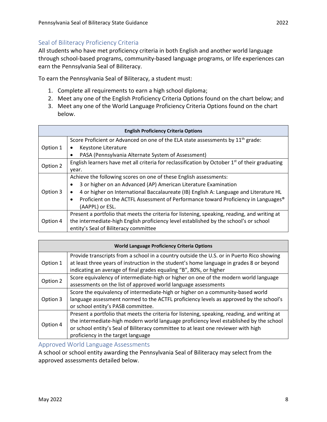## <span id="page-8-0"></span>Seal of Biliteracy Proficiency Criteria

All students who have met proficiency criteria in both English and another world language through school-based programs, community-based language programs, or life experiences can earn the Pennsylvania Seal of Biliteracy.

To earn the Pennsylvania Seal of Biliteracy, a student must:

- 1. Complete all requirements to earn a high school diploma;
- 2. Meet any one of the English Proficiency Criteria Options found on the chart below; and
- 3. Meet any one of the World Language Proficiency Criteria Options found on the chart below.

|                                                                                                                        | <b>English Proficiency Criteria Options</b>                                                  |  |
|------------------------------------------------------------------------------------------------------------------------|----------------------------------------------------------------------------------------------|--|
|                                                                                                                        | Score Proficient or Advanced on one of the ELA state assessments by 11 <sup>th</sup> grade:  |  |
| Option 1                                                                                                               | Keystone Literature                                                                          |  |
|                                                                                                                        | PASA (Pennsylvania Alternate System of Assessment)                                           |  |
| English learners have met all criteria for reclassification by October 1 <sup>st</sup> of their graduating<br>Option 2 |                                                                                              |  |
|                                                                                                                        | year.                                                                                        |  |
|                                                                                                                        | Achieve the following scores on one of these English assessments:                            |  |
|                                                                                                                        | 3 or higher on an Advanced (AP) American Literature Examination                              |  |
| Option 3                                                                                                               | 4 or higher on International Baccalaureate (IB) English A: Language and Literature HL        |  |
|                                                                                                                        | Proficient on the ACTFL Assessment of Performance toward Proficiency in Languages®           |  |
|                                                                                                                        | (AAPPL) or ESL.                                                                              |  |
|                                                                                                                        | Present a portfolio that meets the criteria for listening, speaking, reading, and writing at |  |
| the intermediate-high English proficiency level established by the school's or school<br>Option 4                      |                                                                                              |  |
| entity's Seal of Biliteracy committee                                                                                  |                                                                                              |  |

| <b>World Language Proficiency Criteria Options</b> |                                                                                                                                                                                                                                                                                                                     |  |
|----------------------------------------------------|---------------------------------------------------------------------------------------------------------------------------------------------------------------------------------------------------------------------------------------------------------------------------------------------------------------------|--|
| Option 1                                           | Provide transcripts from a school in a country outside the U.S. or in Puerto Rico showing<br>at least three years of instruction in the student's home language in grades 8 or beyond<br>indicating an average of final grades equaling "B", 80%, or higher                                                         |  |
| Option 2                                           | Score equivalency of intermediate-high or higher on one of the modern world language<br>assessments on the list of approved world language assessments                                                                                                                                                              |  |
| Option 3                                           | Score the equivalency of intermediate-high or higher on a community-based world<br>language assessment normed to the ACTFL proficiency levels as approved by the school's<br>or school entity's PASB committee.                                                                                                     |  |
| Option 4                                           | Present a portfolio that meets the criteria for listening, speaking, reading, and writing at<br>the intermediate-high modern world language proficiency level established by the school<br>or school entity's Seal of Biliteracy committee to at least one reviewer with high<br>proficiency in the target language |  |

#### <span id="page-8-1"></span>Approved World Language Assessments

A school or school entity awarding the Pennsylvania Seal of Biliteracy may select from the approved assessments detailed below.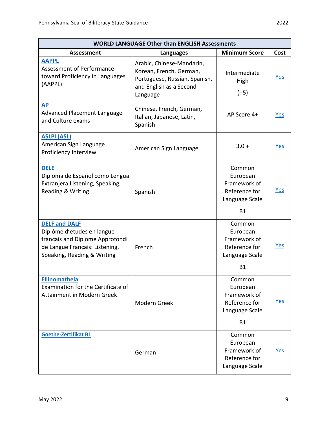| <b>WORLD LANGUAGE Other than ENGLISH Assessments</b>                                                                                                   |                                                                                                                              |                                                                                    |            |
|--------------------------------------------------------------------------------------------------------------------------------------------------------|------------------------------------------------------------------------------------------------------------------------------|------------------------------------------------------------------------------------|------------|
| Assessment                                                                                                                                             | <b>Languages</b>                                                                                                             | <b>Minimum Score</b>                                                               | Cost       |
| <b>AAPPL</b><br>Assessment of Performance<br>toward Proficiency in Languages<br>(AAPPL)                                                                | Arabic, Chinese-Mandarin,<br>Korean, French, German,<br>Portuguese, Russian, Spanish,<br>and English as a Second<br>Language | Intermediate<br>High<br>$(I-5)$                                                    | Yes        |
| AP<br><b>Advanced Placement Language</b><br>and Culture exams                                                                                          | Chinese, French, German,<br>Italian, Japanese, Latin,<br>Spanish                                                             | AP Score 4+                                                                        | Yes        |
| <u>ASLPI (ASL)</u><br>American Sign Language<br>Proficiency Interview                                                                                  | American Sign Language                                                                                                       | $3.0 +$                                                                            | Yes        |
| <b>DELE</b><br>Diploma de Español como Lengua<br>Extranjera Listening, Speaking,<br>Reading & Writing                                                  | Spanish                                                                                                                      | Common<br>European<br>Framework of<br>Reference for<br>Language Scale<br><b>B1</b> | <u>Yes</u> |
| <b>DELF and DALF</b><br>Diplôme d'etudes en langue<br>francais and Diplôme Approfondi<br>de Langue Français: Listening,<br>Speaking, Reading & Writing | French                                                                                                                       | Common<br>European<br>Framework of<br>Reference for<br>Language Scale<br><b>B1</b> | <u>Yes</u> |
| Ellinomatheia<br>Examination for the Certificate of<br>Attainment in Modern Greek                                                                      | Modern Greek                                                                                                                 | Common<br>European<br>Framework of<br>Reference for<br>Language Scale<br><b>B1</b> | <u>Yes</u> |
| <b>Goethe-Zertifikat B1</b>                                                                                                                            | German                                                                                                                       | Common<br>European<br>Framework of<br>Reference for<br>Language Scale              | <u>Yes</u> |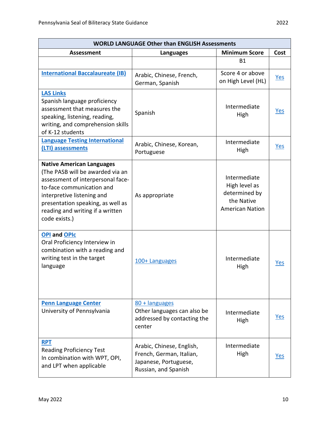| <b>WORLD LANGUAGE Other than ENGLISH Assessments</b>                                                                                                                                                                                                           |                                                                                                        |                                                                                        |            |
|----------------------------------------------------------------------------------------------------------------------------------------------------------------------------------------------------------------------------------------------------------------|--------------------------------------------------------------------------------------------------------|----------------------------------------------------------------------------------------|------------|
| <b>Assessment</b>                                                                                                                                                                                                                                              | <b>Languages</b>                                                                                       | <b>Minimum Score</b>                                                                   | Cost       |
|                                                                                                                                                                                                                                                                |                                                                                                        | <b>B1</b>                                                                              |            |
| <b>International Baccalaureate (IB)</b>                                                                                                                                                                                                                        | Arabic, Chinese, French,<br>German, Spanish                                                            | Score 4 or above<br>on High Level (HL)                                                 | Yes        |
| <b>LAS Links</b><br>Spanish language proficiency<br>assessment that measures the<br>speaking, listening, reading,<br>writing, and comprehension skills<br>of K-12 students                                                                                     | Spanish                                                                                                | Intermediate<br>High                                                                   | <u>Yes</u> |
| <b>Language Testing International</b><br>(LTI) assessments                                                                                                                                                                                                     | Arabic, Chinese, Korean,<br>Portuguese                                                                 | Intermediate<br>High                                                                   | Yes        |
| <b>Native American Languages</b><br>(The PASB will be awarded via an<br>assessment of interpersonal face-<br>to-face communication and<br>interpretive listening and<br>presentation speaking, as well as<br>reading and writing if a written<br>code exists.) | As appropriate                                                                                         | Intermediate<br>High level as<br>determined by<br>the Native<br><b>American Nation</b> |            |
| <b>OPI</b> and <b>OPIC</b><br>Oral Proficiency Interview in<br>combination with a reading and<br>writing test in the target<br>language                                                                                                                        | 100+ Languages                                                                                         | Intermediate<br>High                                                                   | Yes        |
| <b>Penn Language Center</b><br>University of Pennsylvania                                                                                                                                                                                                      | 80 + languages<br>Other languages can also be<br>addressed by contacting the<br>center                 | Intermediate<br>High                                                                   | Yes        |
| <b>RPT</b><br><b>Reading Proficiency Test</b><br>In combination with WPT, OPI,<br>and LPT when applicable                                                                                                                                                      | Arabic, Chinese, English,<br>French, German, Italian,<br>Japanese, Portuguese,<br>Russian, and Spanish | Intermediate<br>High                                                                   | Yes        |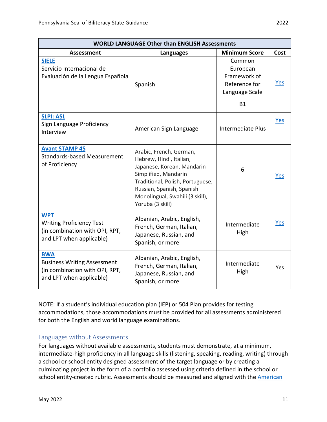| <b>WORLD LANGUAGE Other than ENGLISH Assessments</b>                                                           |                                                                                                                                                                                                                                  |                                                                                    |      |
|----------------------------------------------------------------------------------------------------------------|----------------------------------------------------------------------------------------------------------------------------------------------------------------------------------------------------------------------------------|------------------------------------------------------------------------------------|------|
| <b>Assessment</b>                                                                                              | <b>Languages</b>                                                                                                                                                                                                                 | <b>Minimum Score</b>                                                               | Cost |
| <b>SIELE</b><br>Servicio Internacional de<br>Evaluación de la Lengua Española                                  | Spanish                                                                                                                                                                                                                          | Common<br>European<br>Framework of<br>Reference for<br>Language Scale<br><b>B1</b> | Yes  |
| <b>SLPI: ASL</b><br>Sign Language Proficiency<br>Interview                                                     | American Sign Language                                                                                                                                                                                                           | Intermediate Plus                                                                  | Yes  |
| <b>Avant STAMP 4S</b><br><b>Standards-based Measurement</b><br>of Proficiency                                  | Arabic, French, German,<br>Hebrew, Hindi, Italian,<br>Japanese, Korean, Mandarin<br>Simplified, Mandarin<br>Traditional, Polish, Portuguese,<br>Russian, Spanish, Spanish<br>Monolingual, Swahili (3 skill),<br>Yoruba (3 skill) | 6                                                                                  | Yes  |
| <b>WPT</b><br><b>Writing Proficiency Test</b><br>(in combination with OPI, RPT,<br>and LPT when applicable)    | Albanian, Arabic, English,<br>French, German, Italian,<br>Japanese, Russian, and<br>Spanish, or more                                                                                                                             | Intermediate<br>High                                                               | Yes  |
| <b>BWA</b><br><b>Business Writing Assessment</b><br>(in combination with OPI, RPT,<br>and LPT when applicable) | Albanian, Arabic, English,<br>French, German, Italian,<br>Japanese, Russian, and<br>Spanish, or more                                                                                                                             | Intermediate<br>High                                                               | Yes  |

NOTE: If a student's individual education plan (IEP) or 504 Plan provides for testing accommodations, those accommodations must be provided for all assessments administered for both the English and world language examinations.

## Languages without Assessments

For languages without available assessments, students must demonstrate, at a minimum, intermediate-high proficiency in all language skills (listening, speaking, reading, writing) through a school or school entity designed assessment of the target language or by creating a culminating project in the form of a portfolio assessed using criteria defined in the school or school entity-created rubric. Assessments should be measured and aligned with the **American**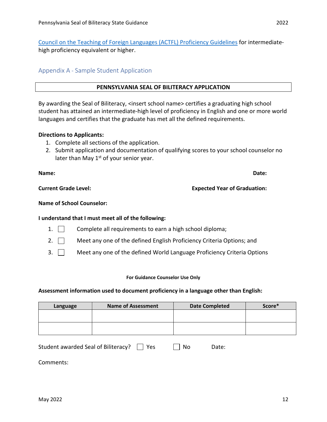[Council on the Teaching of Foreign Languages \(ACTFL\) Proficiency Guidelines](https://www.actfl.org/sites/default/files/pdfs/public/ACTFLProficiencyGuidelines2012_FINAL.pdf) for intermediatehigh proficiency equivalent or higher.

#### <span id="page-12-0"></span>Appendix A - Sample Student Application

#### **PENNSYLVANIA SEAL OF BILITERACY APPLICATION**

By awarding the Seal of Biliteracy, <insert school name> certifies a graduating high school student has attained an intermediate-high level of proficiency in English and one or more world languages and certifies that the graduate has met all the defined requirements.

#### **Directions to Applicants:**

- 1. Complete all sections of the application.
- 2. Submit application and documentation of qualifying scores to your school counselor no later than May  $1<sup>st</sup>$  of your senior year.

#### **Name: Date:**

**Current Grade Level: Expected Year of Graduation:** 

#### **Name of School Counselor:**

#### **I understand that I must meet all of the following:**

- 1.  $\Box$  Complete all requirements to earn a high school diploma;
- 2. Meet any one of the defined English Proficiency Criteria Options; and
- $3.$   $\Box$  Meet any one of the defined World Language Proficiency Criteria Options

#### **For Guidance Counselor Use Only**

#### **Assessment information used to document proficiency in a language other than English:**

| Language | <b>Name of Assessment</b> | <b>Date Completed</b> | Score* |
|----------|---------------------------|-----------------------|--------|
|          |                           |                       |        |
|          |                           |                       |        |
|          |                           |                       |        |
|          |                           |                       |        |

Student awarded Seal of Biliteracy?  $\Box$  Yes  $\Box$  No Date:

Comments: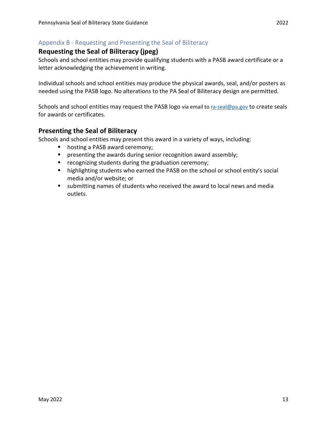## <span id="page-13-0"></span>Appendix B - Requesting and Presenting the Seal of Biliteracy

## **Requesting the Seal of Biliteracy (jpeg)**

Schools and school entities may provide qualifying students with a PASB award certificate or a letter acknowledging the achievement in writing.

Individual schools and school entities may produce the physical awards, seal, and/or posters as needed using the PASB logo. No alterations to the PA Seal of Biliteracy design are permitted.

Schools and school entities may request the PASB logo via email to [ra-seal@pa.gov](mailto:ra-seal@pa.gov) to create seals for awards or certificates.

## **Presenting the Seal of Biliteracy**

Schools and school entities may present this award in a variety of ways, including:

- **hosting a PASB award ceremony;**
- **P** presenting the awards during senior recognition award assembly;
- **•** recognizing students during the graduation ceremony;
- highlighting students who earned the PASB on the school or school entity's social media and/or website; or
- submitting names of students who received the award to local news and media outlets.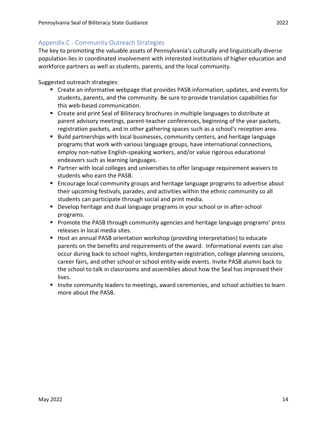## <span id="page-14-0"></span>Appendix C - Community Outreach Strategies

The key to promoting the valuable assets of Pennsylvania's culturally and linguistically diverse population lies in coordinated involvement with interested institutions of higher education and workforce partners as well as students, parents, and the local community.

Suggested outreach strategies:

- Create an informative webpage that provides PASB information, updates, and events for students, parents, and the community. Be sure to provide translation capabilities for this web-based communication.
- Create and print Seal of Biliteracy brochures in multiple languages to distribute at parent advisory meetings, parent-teacher conferences, beginning of the year packets, registration packets, and in other gathering spaces such as a school's reception area.
- **Build partnerships with local businesses, community centers, and heritage language** programs that work with various language groups, have international connections, employ non-native English-speaking workers, and/or value rigorous educational endeavors such as learning languages.
- **Partner with local colleges and universities to offer language requirement waivers to** students who earn the PASB.
- **EXEL ENCOUTAGE 1** Community groups and heritage language programs to advertise about their upcoming festivals, parades, and activities within the ethnic community so all students can participate through social and print media.
- **Develop heritage and dual language programs in your school or in after-school** programs.
- **Promote the PASB through community agencies and heritage language programs' press** releases in local media sites.
- **Hest an annual PASB orientation workshop (providing interpretation) to educate** parents on the benefits and requirements of the award. Informational events can also occur during back to school nights, kindergarten registration, college planning sessions, career fairs, and other school or school entity-wide events. Invite PASB alumni back to the school to talk in classrooms and assemblies about how the Seal has improved their lives.
- **Invite community leaders to meetings, award ceremonies, and school activities to learn** more about the PASB.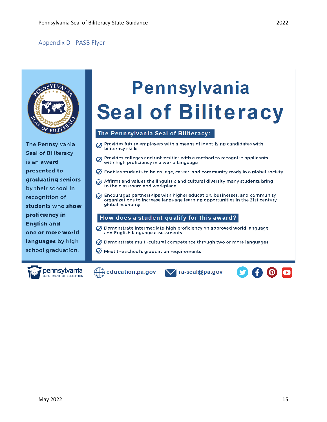## <span id="page-15-0"></span>Appendix D - PASB Flyer



**The Pennsylvania Seal of Biliteracy** is an award presented to graduating seniors by their school in recognition of students who show proficiency in **English and** one or more world languages by high school graduation.

# Pennsylvania **Seal of Biliteracy**

#### The Pennsylvania Seal of Biliteracy:

- $\oslash$  Provides future employers with a means of identifying candidates with biliteracy skills
- Provides colleges and universities with a method to recognize applicants with high proficiency in a world language
- $\cancel{\mathcal{O}}$  Enables students to be college, career, and community ready in a global society
- $\oslash$  Affirms and values the linguistic and cultural diversity many students bring to the classroom and workplace
- $\oslash$  Encourages partnerships with higher education. businesses, and community organizations to increase language learning opportunities in the 21st century global economy

### How does a student qualify for this award?

- Demonstrate intermediate-high proficiency on approved world language and English language assessments
- $\mathcal G$  Demonstrate multi-cultural competence through two or more languages
- $\bigcirc$  Meet the school's graduation requirements



education.pa.gov



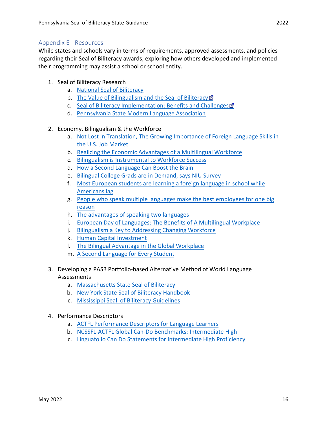## <span id="page-16-0"></span>Appendix E - Resources

While states and schools vary in terms of requirements, approved assessments, and policies regarding their Seal of Biliteracy awards, exploring how others developed and implemented their programming may assist a school or school entity.

- 1. Seal of Biliteracy Research
	- a. [National Seal of Biliteracy](https://sealofbiliteracy.org/index.php)
	- b. [The Value of Bilingualism and the Seal of Biliteracy](https://sealofbiliteracy.org/research/value-bilingualism-and-seal-biliteracy-california-labor-market/) of
	- c. [Seal of Biliteracy Implementation: Benefits and Challenges](https://sealofbiliteracy.org/research/seal-biliteracy-implementation-benefits-challenges/)
	- d. [Pennsylvania State Modern Language Association](https://www.psmla.net/)

## 2. Economy, Bilingualism & the Workforce

- a. [Not Lost in Translation, The Growing Importance](http://www.newamericaneconomy.org/wp-content/uploads/2017/03/NAE_Bilingual_V9.pdf) of Foreign Language Skills in the [U.S. Job Market](http://www.newamericaneconomy.org/wp-content/uploads/2017/03/NAE_Bilingual_V9.pdf)
- b. Realizing [the Economic Advantages of](https://theglobalseal.com/s/gandar-acevedo-economic-advantages-bilingual-2016.pdf) a Multilingual Workforce
- c. [Bilingualism is Instrumental to Workforce Success](http://www.helios.org/blog/bilingualism-is-instrumental-to-workforce-success)
- d. How a Second Language [Can Boost the Brain](https://www.knowablemagazine.org/article/mind/2018/how-second-language-can-boost-brain?fbclid=IwAR1LoUVHW0olczXNWOsuhwtGC2F09RBFdIS2_B_0Nz6bPK1MGoX9NoZh_v8)
- e. [Bilingual College Grads are in Demand, says NIU Survey](https://newsroom.niu.edu/2015/09/16/bilingual-college-grads-are-in-demand-says-niu-survey-3/)
- f. Most European students are learning a [foreign language in school while](http://www.pewresearch.org/fact-tank/2018/08/06/most-european-students-are-learning-a-foreign-language-in-school-while-americans-lag/) [Americans lag](http://www.pewresearch.org/fact-tank/2018/08/06/most-european-students-are-learning-a-foreign-language-in-school-while-americans-lag/)
- g. [People who speak multiple languages make the](https://qz.com/927660/people-who-speak-multiple-languages-make-the-best-employees-for-one-big-reason/) best employees for one big [reason](https://qz.com/927660/people-who-speak-multiple-languages-make-the-best-employees-for-one-big-reason/)
- h. The advantages [of speaking two languages](https://www.weforum.org/agenda/2015/03/the-advantages-of-speaking-two-languages/)
- i. European Day [of Languages: The Benefits of A Multilingual Workplace](https://us.experteer.com/magazine/benefits-of-a-multilingual-workplace/)
- j. Bilingualism a Key [to Addressing Changing Workforce](https://www.huffingtonpost.com/douglas-d-baker/bilingualism-a-key-to-add_b_8483258.html)
- k. [Human Capital Investment](http://austin.thinkbilingual.org/bilinguals-the-talented-workforce-for-the-21st-century/)
- l. [The Bilingual Advantage in the Global Workplace](https://www.languagemagazine.com/2018/06/07/the-bilingual-advantage-in-the-global-workplace/)
- m. [A Second Language for Every Student](https://www.languagemagazine.com/2018/10/15/a-second-language-for-every-student/?fbclid=IwAR2nC4wYIwNw8JDBRtjyjz-rheCcHqwZnh0ViQNNsl5JluF6R0Zd8FWF5y0)
- 3. Developing a PASB Portfolio-based Alternative Method of World Language Assessments
	- a. Massachusetts [State Seal of Biliteracy](https://sealofbiliteracyma.org/proficiency-assessment/)
	- b. [New York State Seal of Biliteracy Handbook](http://www.nysed.gov/common/nysed/files/programs/world-languages/nyssb-handbook.pdf)
	- c. [Mississippi Seal of Biliteracy Guidelines](https://www.mdek12.org/sites/default/files/Offices/Secondary%20Ed/World%20Languages/ms_seal_of_biliteracy_guidelines_final.pdf)
- 4. Performance Descriptors
	- a. ACTFL Performance [Descriptors for Language Learners](https://www.actfl.org/sites/default/files/pdfs/ACTFLPerformance-Descriptors.pdf)
	- b. [NCSSFL-ACTFL Global Can-Do Benchmarks: Intermediate High](https://ncssfl.org/wp-content/uploads/2018/07/Intermed_High_LF_final-bd_jul2018.pdf)
	- c. Linguafolio Can [Do Statements for Intermediate](https://ncssfl.org/linguafolio-materials/2017-can-do-statements/) High Proficiency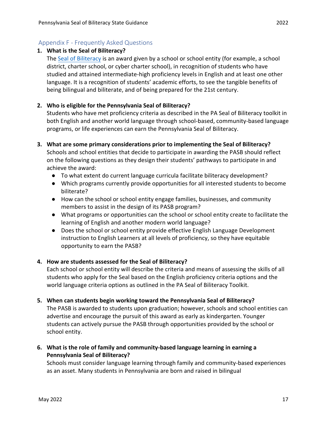## <span id="page-17-0"></span>Appendix F - Frequently Asked Questions

#### **1. What is the Seal of Biliteracy?**

The [Seal of Biliteracy](https://sealofbiliteracy.org/index.php) is an award given by a school or school entity (for example, a school district, charter school, or cyber charter school), in recognition of students who have studied and attained intermediate-high proficiency levels in English and at least one other language. It is a recognition of students' academic efforts, to see the tangible benefits of being bilingual and biliterate, and of being prepared for the 21st century.

#### **2. Who is eligible for the Pennsylvania Seal of Biliteracy?**

Students who have met proficiency criteria as described in the PA Seal of Biliteracy toolkit in both English and another world language through school-based, community-based language programs, or life experiences can earn the Pennsylvania Seal of Biliteracy.

- **3. What are some primary considerations prior to implementing the Seal of Biliteracy?** Schools and school entities that decide to participate in awarding the PASB should reflect on the following questions as they design their students' pathways to participate in and achieve the award:
	- To what extent do current language curricula facilitate biliteracy development?
	- Which programs currently provide opportunities for all interested students to become biliterate?
	- How can the school or school entity engage families, businesses, and community members to assist in the design of its PASB program?
	- What programs or opportunities can the school or school entity create to facilitate the learning of English and another modern world language?
	- Does the school or school entity provide effective English Language Development instruction to English Learners at all levels of proficiency, so they have equitable opportunity to earn the PASB?

#### **4. How are students assessed for the Seal of Biliteracy?**

Each school or school entity will describe the criteria and means of assessing the skills of all students who apply for the Seal based on the English proficiency criteria options and the world language criteria options as outlined in the PA Seal of Biliteracy Toolkit.

**5. When can students begin working toward the Pennsylvania Seal of Biliteracy?**

The PASB is awarded to students upon graduation; however, schools and school entities can advertise and encourage the pursuit of this award as early as kindergarten. Younger students can actively pursue the PASB through opportunities provided by the school or school entity.

**6. What is the role of family and community-based language learning in earning a Pennsylvania Seal of Biliteracy?**

Schools must consider language learning through family and community-based experiences as an asset. Many students in Pennsylvania are born and raised in bilingual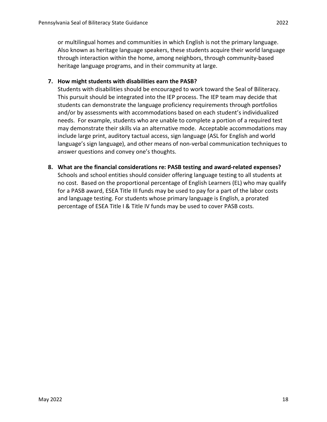or multilingual homes and communities in which English is not the primary language. Also known as heritage language speakers, these students acquire their world language through interaction within the home, among neighbors, through community-based heritage language programs, and in their community at large.

## **7. How might students with disabilities earn the PASB?**

Students with disabilities should be encouraged to work toward the Seal of Biliteracy. This pursuit should be integrated into the IEP process. The IEP team may decide that students can demonstrate the language proficiency requirements through portfolios and/or by assessments with accommodations based on each student's individualized needs. For example, students who are unable to complete a portion of a required test may demonstrate their skills via an alternative mode. Acceptable accommodations may include large print, auditory tactual access, sign language (ASL for English and world language's sign language), and other means of non-verbal communication techniques to answer questions and convey one's thoughts.

**8. What are the financial considerations re: PASB testing and award-related expenses?** Schools and school entities should consider offering language testing to all students at no cost. Based on the proportional percentage of English Learners (EL) who may qualify for a PASB award, ESEA Title III funds may be used to pay for a part of the labor costs and language testing. For students whose primary language is English, a prorated percentage of ESEA Title I & Title IV funds may be used to cover PASB costs.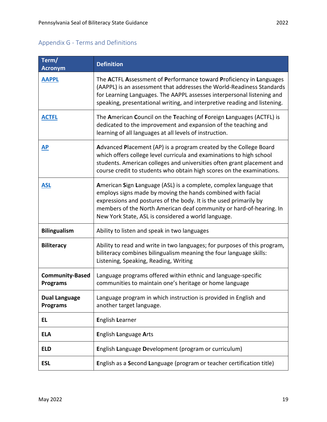<span id="page-19-0"></span>

| Term/<br><b>Acronym</b>                   | <b>Definition</b>                                                                                                                                                                                                                                                                                                                   |
|-------------------------------------------|-------------------------------------------------------------------------------------------------------------------------------------------------------------------------------------------------------------------------------------------------------------------------------------------------------------------------------------|
| <b>AAPPL</b>                              | The ACTFL Assessment of Performance toward Proficiency in Languages<br>(AAPPL) is an assessment that addresses the World-Readiness Standards<br>for Learning Languages. The AAPPL assesses interpersonal listening and<br>speaking, presentational writing, and interpretive reading and listening.                                 |
| <b>ACTFL</b>                              | The American Council on the Teaching of Foreign Languages (ACTFL) is<br>dedicated to the improvement and expansion of the teaching and<br>learning of all languages at all levels of instruction.                                                                                                                                   |
| <b>AP</b>                                 | Advanced Placement (AP) is a program created by the College Board<br>which offers college level curricula and examinations to high school<br>students. American colleges and universities often grant placement and<br>course credit to students who obtain high scores on the examinations.                                        |
| <b>ASL</b>                                | American Sign Language (ASL) is a complete, complex language that<br>employs signs made by moving the hands combined with facial<br>expressions and postures of the body. It is the used primarily by<br>members of the North American deaf community or hard-of-hearing. In<br>New York State, ASL is considered a world language. |
| <b>Bilingualism</b>                       | Ability to listen and speak in two languages                                                                                                                                                                                                                                                                                        |
| <b>Biliteracy</b>                         | Ability to read and write in two languages; for purposes of this program,<br>biliteracy combines bilingualism meaning the four language skills:<br>Listening, Speaking, Reading, Writing                                                                                                                                            |
| <b>Community-Based</b><br><b>Programs</b> | Language programs offered within ethnic and language-specific<br>communities to maintain one's heritage or home language                                                                                                                                                                                                            |
| <b>Dual Language</b><br><b>Programs</b>   | Language program in which instruction is provided in English and<br>another target language.                                                                                                                                                                                                                                        |
| EL                                        | <b>English Learner</b>                                                                                                                                                                                                                                                                                                              |
| <b>ELA</b>                                | English Language Arts                                                                                                                                                                                                                                                                                                               |
| <b>ELD</b>                                | English Language Development (program or curriculum)                                                                                                                                                                                                                                                                                |
| <b>ESL</b>                                | English as a Second Language (program or teacher certification title)                                                                                                                                                                                                                                                               |